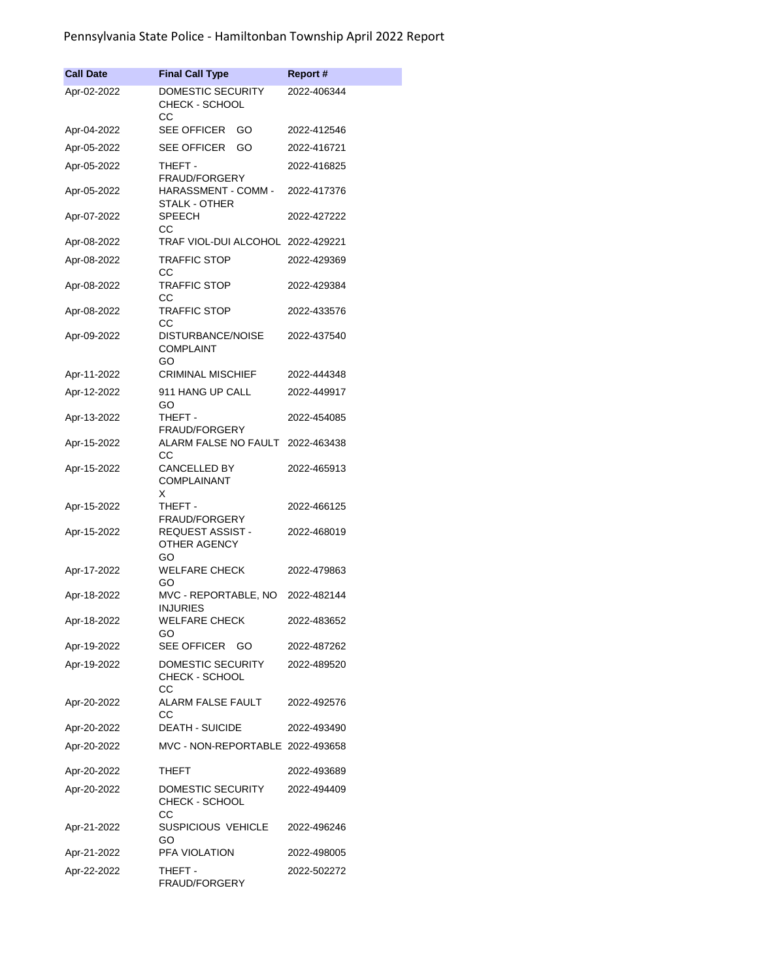## Pennsylvania State Police - Hamiltonban Township April 2022 Report

| <b>Call Date</b> | <b>Final Call Type</b>                         | <b>Report#</b> |
|------------------|------------------------------------------------|----------------|
| Apr-02-2022      | DOMESTIC SECURITY                              | 2022-406344    |
|                  | CHECK - SCHOOL<br>CС                           |                |
| Apr-04-2022      | <b>SEE OFFICER</b><br>GO                       | 2022-412546    |
| Apr-05-2022      | SEE OFFICER<br>GO                              | 2022-416721    |
| Apr-05-2022      | THEFT -<br><b>FRAUD/FORGERY</b>                | 2022-416825    |
| Apr-05-2022      | HARASSMENT - COMM -<br>STALK - OTHER           | 2022-417376    |
| Apr-07-2022      | <b>SPEECH</b><br>СC                            | 2022-427222    |
| Apr-08-2022      | TRAF VIOL-DUI ALCOHOL 2022-429221              |                |
| Apr-08-2022      | <b>TRAFFIC STOP</b><br>CС                      | 2022-429369    |
| Apr-08-2022      | <b>TRAFFIC STOP</b><br>CС                      | 2022-429384    |
| Apr-08-2022      | <b>TRAFFIC STOP</b><br>CС                      | 2022-433576    |
| Apr-09-2022      | DISTURBANCE/NOISE<br><b>COMPLAINT</b><br>GO    | 2022-437540    |
| Apr-11-2022      | <b>CRIMINAL MISCHIEF</b>                       | 2022-444348    |
| Apr-12-2022      | 911 HANG UP CALL<br>GO                         | 2022-449917    |
| Apr-13-2022      | THEFT -<br><b>FRAUD/FORGERY</b>                | 2022-454085    |
| Apr-15-2022      | ALARM FALSE NO FAULT<br>CС                     | 2022-463438    |
| Apr-15-2022      | <b>CANCELLED BY</b><br><b>COMPLAINANT</b><br>X | 2022-465913    |
| Apr-15-2022      | THEFT -<br><b>FRAUD/FORGERY</b>                | 2022-466125    |
| Apr-15-2022      | REQUEST ASSIST -<br>OTHER AGENCY<br>GO         | 2022-468019    |
| Apr-17-2022      | <b>WELFARE CHECK</b><br>GO                     | 2022-479863    |
| Apr-18-2022      | MVC - REPORTABLE, NO<br><b>INJURIES</b>        | 2022-482144    |
| Apr-18-2022      | <b>WELFARE CHECK</b><br>GO                     | 2022-483652    |
| Apr-19-2022      | <b>SEE OFFICER</b><br>GO                       | 2022-487262    |
| Apr-19-2022      | DOMESTIC SECURITY<br>CHECK - SCHOOL<br>CС      | 2022-489520    |
| Apr-20-2022      | ALARM FALSE FAULT<br>CС                        | 2022-492576    |
| Apr-20-2022      | <b>DEATH - SUICIDE</b>                         | 2022-493490    |
| Apr-20-2022      | MVC - NON-REPORTABLE 2022-493658               |                |
| Apr-20-2022      | THEFT                                          | 2022-493689    |
| Apr-20-2022      | DOMESTIC SECURITY<br>CHECK - SCHOOL            | 2022-494409    |
| Apr-21-2022      | CС<br>SUSPICIOUS VEHICLE                       | 2022-496246    |
| Apr-21-2022      | GO<br>PFA VIOLATION                            | 2022-498005    |
| Apr-22-2022      | THEFT -<br>FRAUD/FORGERY                       | 2022-502272    |